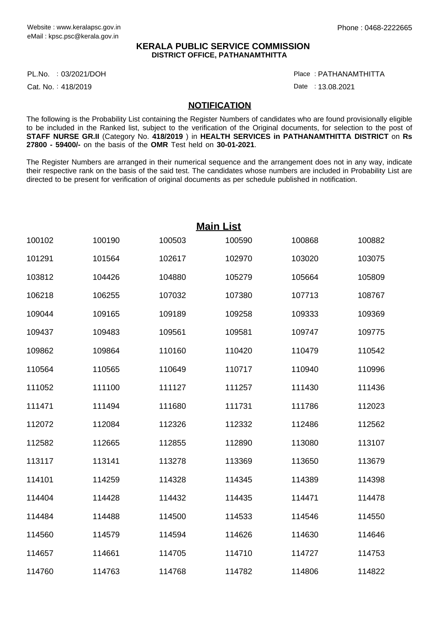## **KERALA PUBLIC SERVICE COMMISSION DISTRICT OFFICE, PATHANAMTHITTA**

PL.No. : 03/2021/DOH Particle in the control of the control of the control of the control of the control of the control of the control of the control of the control of the control of the control of the control of the contr

Cat. No.: 418/2019

: PATHANAMTHITTA

Date: 13.08.2021

## **NOTIFICATION**

The following is the Probability List containing the Register Numbers of candidates who are found provisionally eligible to be included in the Ranked list, subject to the verification of the Original documents, for selection to the post of **STAFF NURSE GR.II** (Category No. **418/2019** ) in **HEALTH SERVICES in PATHANAMTHITTA DISTRICT** on **Rs 27800 - 59400/-** on the basis of the **OMR** Test held on **30-01-2021**.

The Register Numbers are arranged in their numerical sequence and the arrangement does not in any way, indicate their respective rank on the basis of the said test. The candidates whose numbers are included in Probability List are directed to be present for verification of original documents as per schedule published in notification.

| <b>Main List</b> |        |        |        |        |        |
|------------------|--------|--------|--------|--------|--------|
| 100102           | 100190 | 100503 | 100590 | 100868 | 100882 |
| 101291           | 101564 | 102617 | 102970 | 103020 | 103075 |
| 103812           | 104426 | 104880 | 105279 | 105664 | 105809 |
| 106218           | 106255 | 107032 | 107380 | 107713 | 108767 |
| 109044           | 109165 | 109189 | 109258 | 109333 | 109369 |
| 109437           | 109483 | 109561 | 109581 | 109747 | 109775 |
| 109862           | 109864 | 110160 | 110420 | 110479 | 110542 |
| 110564           | 110565 | 110649 | 110717 | 110940 | 110996 |
| 111052           | 111100 | 111127 | 111257 | 111430 | 111436 |
| 111471           | 111494 | 111680 | 111731 | 111786 | 112023 |
| 112072           | 112084 | 112326 | 112332 | 112486 | 112562 |
| 112582           | 112665 | 112855 | 112890 | 113080 | 113107 |
| 113117           | 113141 | 113278 | 113369 | 113650 | 113679 |
| 114101           | 114259 | 114328 | 114345 | 114389 | 114398 |
| 114404           | 114428 | 114432 | 114435 | 114471 | 114478 |
| 114484           | 114488 | 114500 | 114533 | 114546 | 114550 |
| 114560           | 114579 | 114594 | 114626 | 114630 | 114646 |
| 114657           | 114661 | 114705 | 114710 | 114727 | 114753 |
| 114760           | 114763 | 114768 | 114782 | 114806 | 114822 |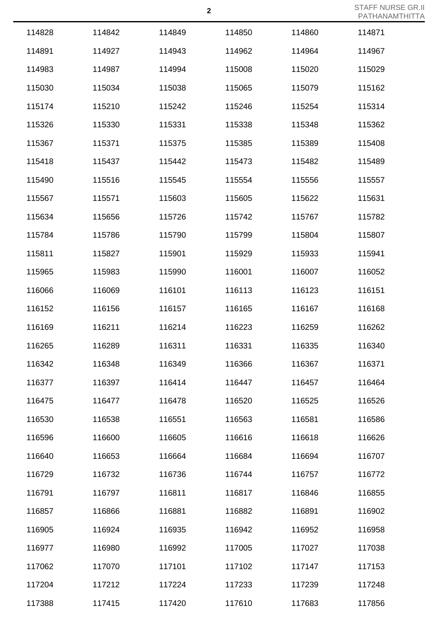| 114828 | 114842 | 114849 | 114850 | 114860 | 114871 |
|--------|--------|--------|--------|--------|--------|
| 114891 | 114927 | 114943 | 114962 | 114964 | 114967 |
| 114983 | 114987 | 114994 | 115008 | 115020 | 115029 |
| 115030 | 115034 | 115038 | 115065 | 115079 | 115162 |
| 115174 | 115210 | 115242 | 115246 | 115254 | 115314 |
| 115326 | 115330 | 115331 | 115338 | 115348 | 115362 |
| 115367 | 115371 | 115375 | 115385 | 115389 | 115408 |
| 115418 | 115437 | 115442 | 115473 | 115482 | 115489 |
| 115490 | 115516 | 115545 | 115554 | 115556 | 115557 |
| 115567 | 115571 | 115603 | 115605 | 115622 | 115631 |
| 115634 | 115656 | 115726 | 115742 | 115767 | 115782 |
| 115784 | 115786 | 115790 | 115799 | 115804 | 115807 |
| 115811 | 115827 | 115901 | 115929 | 115933 | 115941 |
| 115965 | 115983 | 115990 | 116001 | 116007 | 116052 |
| 116066 | 116069 | 116101 | 116113 | 116123 | 116151 |
| 116152 | 116156 | 116157 | 116165 | 116167 | 116168 |
| 116169 | 116211 | 116214 | 116223 | 116259 | 116262 |
| 116265 | 116289 | 116311 | 116331 | 116335 | 116340 |
| 116342 | 116348 | 116349 | 116366 | 116367 | 116371 |
| 116377 | 116397 | 116414 | 116447 | 116457 | 116464 |
| 116475 | 116477 | 116478 | 116520 | 116525 | 116526 |
| 116530 | 116538 | 116551 | 116563 | 116581 | 116586 |
| 116596 | 116600 | 116605 | 116616 | 116618 | 116626 |
| 116640 | 116653 | 116664 | 116684 | 116694 | 116707 |
| 116729 | 116732 | 116736 | 116744 | 116757 | 116772 |
| 116791 | 116797 | 116811 | 116817 | 116846 | 116855 |
| 116857 | 116866 | 116881 | 116882 | 116891 | 116902 |
| 116905 | 116924 | 116935 | 116942 | 116952 | 116958 |
| 116977 | 116980 | 116992 | 117005 | 117027 | 117038 |
| 117062 | 117070 | 117101 | 117102 | 117147 | 117153 |
| 117204 | 117212 | 117224 | 117233 | 117239 | 117248 |
| 117388 | 117415 | 117420 | 117610 | 117683 | 117856 |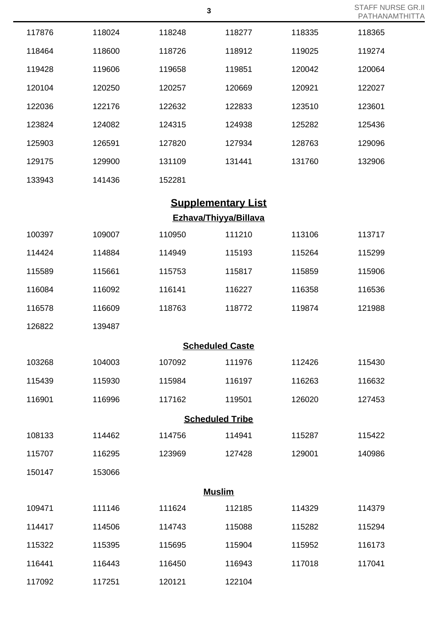| 117876                | 118024 | 118248 | 118277                    | 118335 | 118365 |  |
|-----------------------|--------|--------|---------------------------|--------|--------|--|
| 118464                | 118600 | 118726 | 118912                    | 119025 | 119274 |  |
| 119428                | 119606 | 119658 | 119851                    | 120042 | 120064 |  |
| 120104                | 120250 | 120257 | 120669                    | 120921 | 122027 |  |
| 122036                | 122176 | 122632 | 122833                    | 123510 | 123601 |  |
| 123824                | 124082 | 124315 | 124938                    | 125282 | 125436 |  |
| 125903                | 126591 | 127820 | 127934                    | 128763 | 129096 |  |
| 129175                | 129900 | 131109 | 131441                    | 131760 | 132906 |  |
| 133943                | 141436 | 152281 |                           |        |        |  |
|                       |        |        | <b>Supplementary List</b> |        |        |  |
| Ezhava/Thiyya/Billava |        |        |                           |        |        |  |
| 100397                | 109007 | 110950 | 111210                    | 113106 | 113717 |  |
| 114424                | 114884 | 114949 | 115193                    | 115264 | 115299 |  |
| 115589                | 115661 | 115753 | 115817                    | 115859 | 115906 |  |
| 116084                | 116092 | 116141 | 116227                    | 116358 | 116536 |  |
| 116578                | 116609 | 118763 | 118772                    | 119874 | 121988 |  |
| 126822                | 139487 |        |                           |        |        |  |
|                       |        |        | <b>Scheduled Caste</b>    |        |        |  |
| 103268                | 104003 | 107092 | 111976                    | 112426 | 115430 |  |
| 115439                | 115930 | 115984 | 116197                    | 116263 | 116632 |  |
| 116901                | 116996 | 117162 | 119501                    | 126020 | 127453 |  |
|                       |        |        | <b>Scheduled Tribe</b>    |        |        |  |
| 108133                | 114462 | 114756 | 114941                    | 115287 | 115422 |  |
| 115707                | 116295 | 123969 | 127428                    | 129001 | 140986 |  |
| 150147                | 153066 |        |                           |        |        |  |
|                       |        |        | <b>Muslim</b>             |        |        |  |
| 109471                | 111146 | 111624 | 112185                    | 114329 | 114379 |  |
| 114417                | 114506 | 114743 | 115088                    | 115282 | 115294 |  |
| 115322                | 115395 | 115695 | 115904                    | 115952 | 116173 |  |
| 116441                | 116443 | 116450 | 116943                    | 117018 | 117041 |  |
| 117092                | 117251 | 120121 | 122104                    |        |        |  |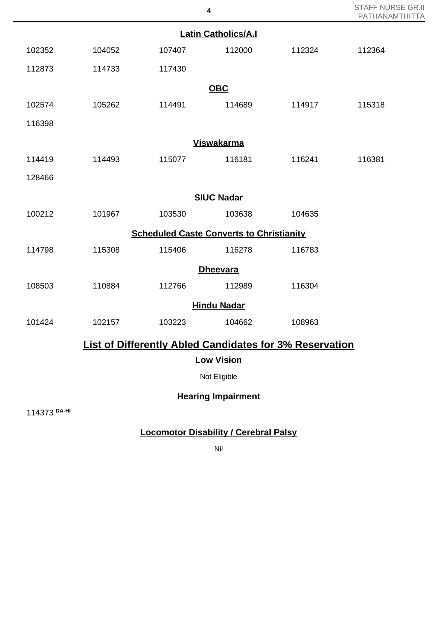STAFF NURSE GR.II PATHANAMTHITTA

| <b>Latin Catholics/A.I</b> |        |                                                 |                           |                                                                |        |  |
|----------------------------|--------|-------------------------------------------------|---------------------------|----------------------------------------------------------------|--------|--|
| 102352                     | 104052 | 107407                                          | 112000                    | 112324                                                         | 112364 |  |
| 112873                     | 114733 | 117430                                          |                           |                                                                |        |  |
|                            |        |                                                 | <b>OBC</b>                |                                                                |        |  |
| 102574                     | 105262 | 114491                                          | 114689                    | 114917                                                         | 115318 |  |
| 116398                     |        |                                                 |                           |                                                                |        |  |
| <b>Viswakarma</b>          |        |                                                 |                           |                                                                |        |  |
| 114419                     | 114493 | 115077                                          | 116181                    | 116241                                                         | 116381 |  |
| 128466                     |        |                                                 |                           |                                                                |        |  |
|                            |        |                                                 | <b>SIUC Nadar</b>         |                                                                |        |  |
| 100212                     | 101967 | 103530                                          | 103638                    | 104635                                                         |        |  |
|                            |        | <b>Scheduled Caste Converts to Christianity</b> |                           |                                                                |        |  |
| 114798                     | 115308 | 115406                                          | 116278                    | 116783                                                         |        |  |
|                            |        |                                                 | <b>Dheevara</b>           |                                                                |        |  |
| 108503                     | 110884 | 112766                                          | 112989                    | 116304                                                         |        |  |
|                            |        |                                                 | <b>Hindu Nadar</b>        |                                                                |        |  |
| 101424                     | 102157 | 103223                                          | 104662                    | 108963                                                         |        |  |
|                            |        |                                                 |                           | <b>List of Differently Abled Candidates for 3% Reservation</b> |        |  |
|                            |        |                                                 | <b>Low Vision</b>         |                                                                |        |  |
|                            |        |                                                 | Not Eligible              |                                                                |        |  |
|                            |        |                                                 | <b>Hearing Impairment</b> |                                                                |        |  |

114373 **DA-HI**

## **Locomotor Disability / Cerebral Palsy**

Nil

**4**